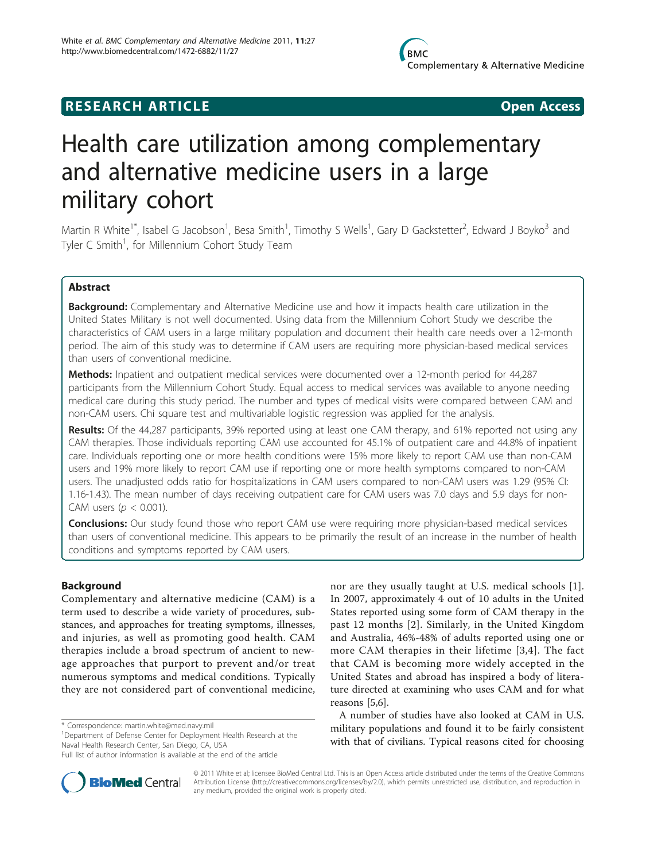## **RESEARCH ARTICLE Example 2018 12:00 Open Access**

# Health care utilization among complementary and alternative medicine users in a large military cohort

Martin R White<sup>1\*</sup>, Isabel G Jacobson<sup>1</sup>, Besa Smith<sup>1</sup>, Timothy S Wells<sup>1</sup>, Gary D Gackstetter<sup>2</sup>, Edward J Boyko<sup>3</sup> and Tyler C Smith<sup>1</sup>, for Millennium Cohort Study Team

## Abstract

**Background:** Complementary and Alternative Medicine use and how it impacts health care utilization in the United States Military is not well documented. Using data from the Millennium Cohort Study we describe the characteristics of CAM users in a large military population and document their health care needs over a 12-month period. The aim of this study was to determine if CAM users are requiring more physician-based medical services than users of conventional medicine.

Methods: Inpatient and outpatient medical services were documented over a 12-month period for 44,287 participants from the Millennium Cohort Study. Equal access to medical services was available to anyone needing medical care during this study period. The number and types of medical visits were compared between CAM and non-CAM users. Chi square test and multivariable logistic regression was applied for the analysis.

Results: Of the 44,287 participants, 39% reported using at least one CAM therapy, and 61% reported not using any CAM therapies. Those individuals reporting CAM use accounted for 45.1% of outpatient care and 44.8% of inpatient care. Individuals reporting one or more health conditions were 15% more likely to report CAM use than non-CAM users and 19% more likely to report CAM use if reporting one or more health symptoms compared to non-CAM users. The unadjusted odds ratio for hospitalizations in CAM users compared to non-CAM users was 1.29 (95% CI: 1.16-1.43). The mean number of days receiving outpatient care for CAM users was 7.0 days and 5.9 days for non-CAM users ( $p < 0.001$ ).

**Conclusions:** Our study found those who report CAM use were requiring more physician-based medical services than users of conventional medicine. This appears to be primarily the result of an increase in the number of health conditions and symptoms reported by CAM users.

## Background

Complementary and alternative medicine (CAM) is a term used to describe a wide variety of procedures, substances, and approaches for treating symptoms, illnesses, and injuries, as well as promoting good health. CAM therapies include a broad spectrum of ancient to newage approaches that purport to prevent and/or treat numerous symptoms and medical conditions. Typically they are not considered part of conventional medicine,

\* Correspondence: [martin.white@med.navy.mil](mailto:martin.white@med.navy.mil)

<sup>1</sup>Department of Defense Center for Deployment Health Research at the Naval Health Research Center, San Diego, CA, USA



A number of studies have also looked at CAM in U.S. military populations and found it to be fairly consistent with that of civilians. Typical reasons cited for choosing



© 2011 White et al; licensee BioMed Central Ltd. This is an Open Access article distributed under the terms of the Creative Commons Attribution License [\(http://creativecommons.org/licenses/by/2.0](http://creativecommons.org/licenses/by/2.0)), which permits unrestricted use, distribution, and reproduction in any medium, provided the original work is properly cited.

Full list of author information is available at the end of the article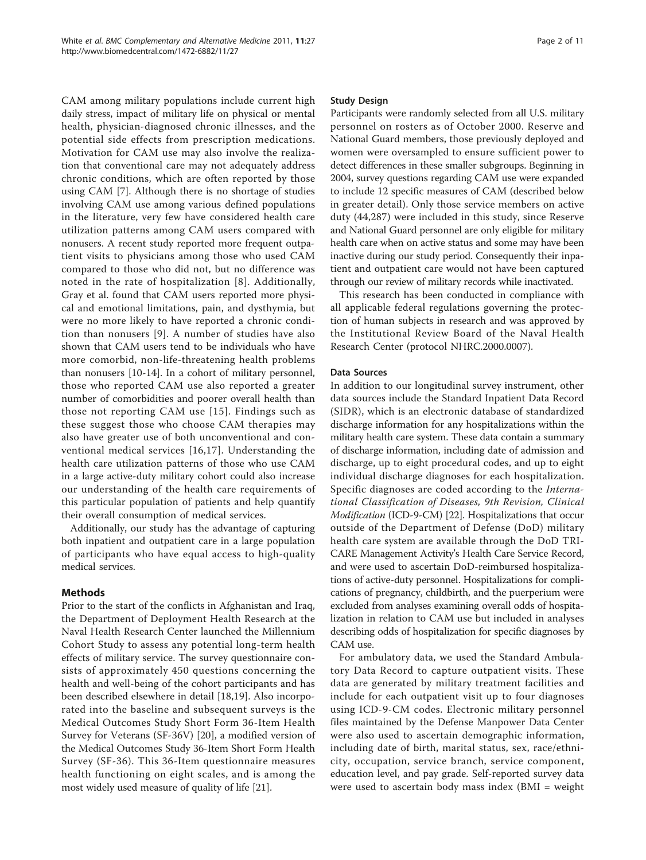CAM among military populations include current high daily stress, impact of military life on physical or mental health, physician-diagnosed chronic illnesses, and the potential side effects from prescription medications. Motivation for CAM use may also involve the realization that conventional care may not adequately address chronic conditions, which are often reported by those using CAM [[7\]](#page-9-0). Although there is no shortage of studies involving CAM use among various defined populations in the literature, very few have considered health care utilization patterns among CAM users compared with nonusers. A recent study reported more frequent outpatient visits to physicians among those who used CAM compared to those who did not, but no difference was noted in the rate of hospitalization [[8\]](#page-9-0). Additionally, Gray et al. found that CAM users reported more physical and emotional limitations, pain, and dysthymia, but were no more likely to have reported a chronic condition than nonusers [[9](#page-9-0)]. A number of studies have also shown that CAM users tend to be individuals who have more comorbid, non-life-threatening health problems than nonusers [\[10](#page-9-0)-[14\]](#page-9-0). In a cohort of military personnel, those who reported CAM use also reported a greater number of comorbidities and poorer overall health than those not reporting CAM use [\[15](#page-9-0)]. Findings such as these suggest those who choose CAM therapies may also have greater use of both unconventional and conventional medical services [[16,17\]](#page-9-0). Understanding the health care utilization patterns of those who use CAM in a large active-duty military cohort could also increase our understanding of the health care requirements of this particular population of patients and help quantify their overall consumption of medical services.

Additionally, our study has the advantage of capturing both inpatient and outpatient care in a large population of participants who have equal access to high-quality medical services.

### **Methods**

Prior to the start of the conflicts in Afghanistan and Iraq, the Department of Deployment Health Research at the Naval Health Research Center launched the Millennium Cohort Study to assess any potential long-term health effects of military service. The survey questionnaire consists of approximately 450 questions concerning the health and well-being of the cohort participants and has been described elsewhere in detail [[18](#page-9-0),[19\]](#page-9-0). Also incorporated into the baseline and subsequent surveys is the Medical Outcomes Study Short Form 36-Item Health Survey for Veterans (SF-36V) [[20\]](#page-9-0), a modified version of the Medical Outcomes Study 36-Item Short Form Health Survey (SF-36). This 36-Item questionnaire measures health functioning on eight scales, and is among the most widely used measure of quality of life [[21\]](#page-9-0).

#### Study Design

Participants were randomly selected from all U.S. military personnel on rosters as of October 2000. Reserve and National Guard members, those previously deployed and women were oversampled to ensure sufficient power to detect differences in these smaller subgroups. Beginning in 2004, survey questions regarding CAM use were expanded to include 12 specific measures of CAM (described below in greater detail). Only those service members on active duty (44,287) were included in this study, since Reserve and National Guard personnel are only eligible for military health care when on active status and some may have been inactive during our study period. Consequently their inpatient and outpatient care would not have been captured through our review of military records while inactivated.

This research has been conducted in compliance with all applicable federal regulations governing the protection of human subjects in research and was approved by the Institutional Review Board of the Naval Health Research Center (protocol NHRC.2000.0007).

### Data Sources

In addition to our longitudinal survey instrument, other data sources include the Standard Inpatient Data Record (SIDR), which is an electronic database of standardized discharge information for any hospitalizations within the military health care system. These data contain a summary of discharge information, including date of admission and discharge, up to eight procedural codes, and up to eight individual discharge diagnoses for each hospitalization. Specific diagnoses are coded according to the International Classification of Diseases, 9th Revision, Clinical Modification (ICD-9-CM) [\[22](#page-9-0)]. Hospitalizations that occur outside of the Department of Defense (DoD) military health care system are available through the DoD TRI-CARE Management Activity's Health Care Service Record, and were used to ascertain DoD-reimbursed hospitalizations of active-duty personnel. Hospitalizations for complications of pregnancy, childbirth, and the puerperium were excluded from analyses examining overall odds of hospitalization in relation to CAM use but included in analyses describing odds of hospitalization for specific diagnoses by CAM use.

For ambulatory data, we used the Standard Ambulatory Data Record to capture outpatient visits. These data are generated by military treatment facilities and include for each outpatient visit up to four diagnoses using ICD-9-CM codes. Electronic military personnel files maintained by the Defense Manpower Data Center were also used to ascertain demographic information, including date of birth, marital status, sex, race/ethnicity, occupation, service branch, service component, education level, and pay grade. Self-reported survey data were used to ascertain body mass index (BMI = weight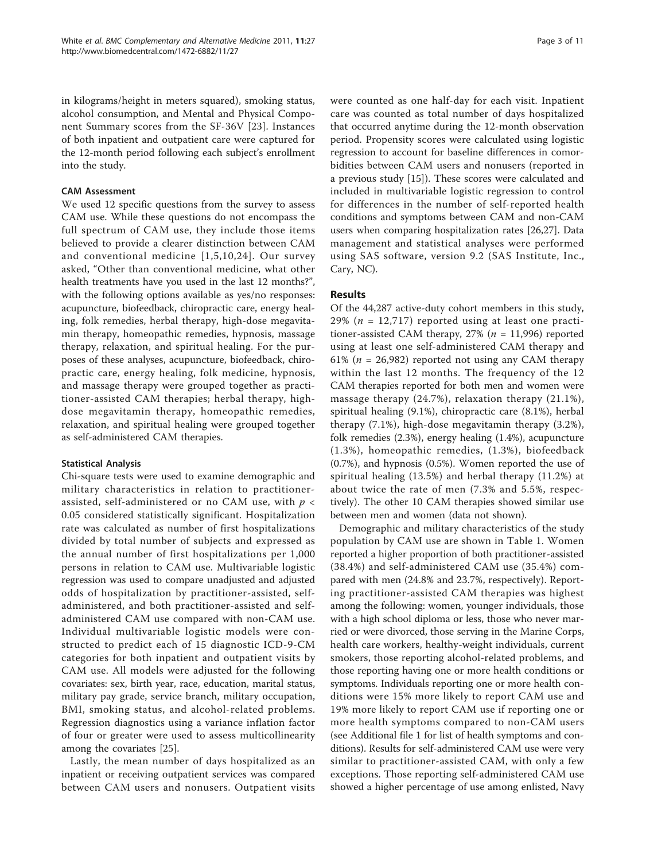in kilograms/height in meters squared), smoking status, alcohol consumption, and Mental and Physical Component Summary scores from the SF-36V [[23\]](#page-9-0). Instances of both inpatient and outpatient care were captured for the 12-month period following each subject's enrollment into the study.

## CAM Assessment

We used 12 specific questions from the survey to assess CAM use. While these questions do not encompass the full spectrum of CAM use, they include those items believed to provide a clearer distinction between CAM and conventional medicine [[1](#page-9-0),[5](#page-9-0),[10,24](#page-9-0)]. Our survey asked, "Other than conventional medicine, what other health treatments have you used in the last 12 months?", with the following options available as yes/no responses: acupuncture, biofeedback, chiropractic care, energy healing, folk remedies, herbal therapy, high-dose megavitamin therapy, homeopathic remedies, hypnosis, massage therapy, relaxation, and spiritual healing. For the purposes of these analyses, acupuncture, biofeedback, chiropractic care, energy healing, folk medicine, hypnosis, and massage therapy were grouped together as practitioner-assisted CAM therapies; herbal therapy, highdose megavitamin therapy, homeopathic remedies, relaxation, and spiritual healing were grouped together as self-administered CAM therapies.

### Statistical Analysis

Chi-square tests were used to examine demographic and military characteristics in relation to practitionerassisted, self-administered or no CAM use, with  $p <$ 0.05 considered statistically significant. Hospitalization rate was calculated as number of first hospitalizations divided by total number of subjects and expressed as the annual number of first hospitalizations per 1,000 persons in relation to CAM use. Multivariable logistic regression was used to compare unadjusted and adjusted odds of hospitalization by practitioner-assisted, selfadministered, and both practitioner-assisted and selfadministered CAM use compared with non-CAM use. Individual multivariable logistic models were constructed to predict each of 15 diagnostic ICD-9-CM categories for both inpatient and outpatient visits by CAM use. All models were adjusted for the following covariates: sex, birth year, race, education, marital status, military pay grade, service branch, military occupation, BMI, smoking status, and alcohol-related problems. Regression diagnostics using a variance inflation factor of four or greater were used to assess multicollinearity among the covariates [\[25](#page-9-0)].

Lastly, the mean number of days hospitalized as an inpatient or receiving outpatient services was compared between CAM users and nonusers. Outpatient visits were counted as one half-day for each visit. Inpatient care was counted as total number of days hospitalized that occurred anytime during the 12-month observation period. Propensity scores were calculated using logistic regression to account for baseline differences in comorbidities between CAM users and nonusers (reported in a previous study [[15\]](#page-9-0)). These scores were calculated and included in multivariable logistic regression to control for differences in the number of self-reported health conditions and symptoms between CAM and non-CAM users when comparing hospitalization rates [\[26,27\]](#page-9-0). Data management and statistical analyses were performed using SAS software, version 9.2 (SAS Institute, Inc., Cary, NC).

## Results

Of the 44,287 active-duty cohort members in this study, 29% ( $n = 12,717$ ) reported using at least one practitioner-assisted CAM therapy,  $27\%$  ( $n = 11,996$ ) reported using at least one self-administered CAM therapy and 61% ( $n = 26,982$ ) reported not using any CAM therapy within the last 12 months. The frequency of the 12 CAM therapies reported for both men and women were massage therapy (24.7%), relaxation therapy (21.1%), spiritual healing (9.1%), chiropractic care (8.1%), herbal therapy (7.1%), high-dose megavitamin therapy (3.2%), folk remedies (2.3%), energy healing (1.4%), acupuncture (1.3%), homeopathic remedies, (1.3%), biofeedback (0.7%), and hypnosis (0.5%). Women reported the use of spiritual healing (13.5%) and herbal therapy (11.2%) at about twice the rate of men (7.3% and 5.5%, respectively). The other 10 CAM therapies showed similar use between men and women (data not shown).

Demographic and military characteristics of the study population by CAM use are shown in Table [1.](#page-3-0) Women reported a higher proportion of both practitioner-assisted (38.4%) and self-administered CAM use (35.4%) compared with men (24.8% and 23.7%, respectively). Reporting practitioner-assisted CAM therapies was highest among the following: women, younger individuals, those with a high school diploma or less, those who never married or were divorced, those serving in the Marine Corps, health care workers, healthy-weight individuals, current smokers, those reporting alcohol-related problems, and those reporting having one or more health conditions or symptoms. Individuals reporting one or more health conditions were 15% more likely to report CAM use and 19% more likely to report CAM use if reporting one or more health symptoms compared to non-CAM users (see Additional file [1](#page-8-0) for list of health symptoms and conditions). Results for self-administered CAM use were very similar to practitioner-assisted CAM, with only a few exceptions. Those reporting self-administered CAM use showed a higher percentage of use among enlisted, Navy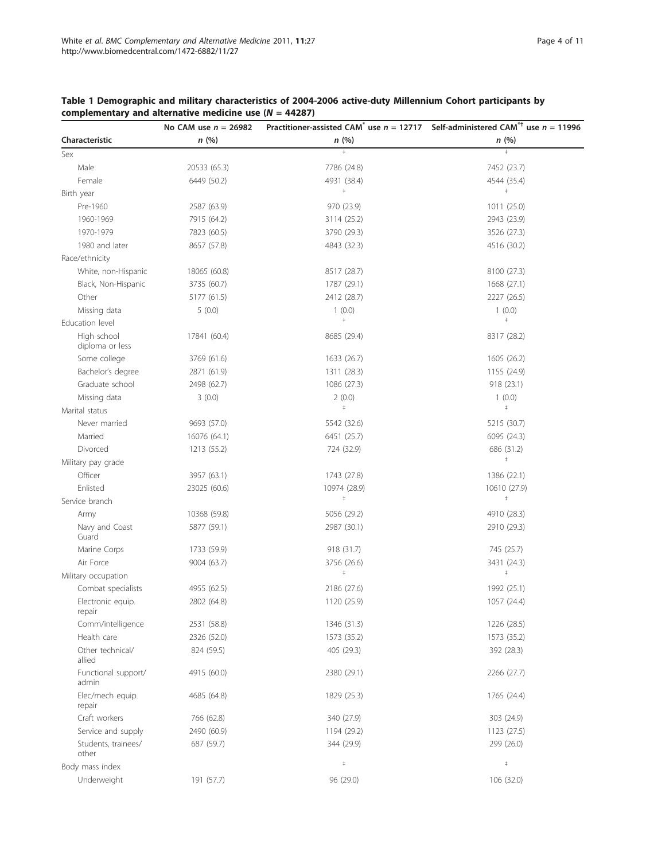|                              | No CAM use $n = 26982$ | Practitioner-assisted CAM <sup>*</sup> use $n = 12717$ Self-administered CAM <sup>*+</sup> use $n = 11996$ |                |
|------------------------------|------------------------|------------------------------------------------------------------------------------------------------------|----------------|
| Characteristic               | n(%)                   | n(%)                                                                                                       | n(%)           |
| Sex                          |                        | $\overline{\phantom{a}}$                                                                                   | $\overline{+}$ |
| Male                         | 20533 (65.3)           | 7786 (24.8)                                                                                                | 7452 (23.7)    |
| Female                       | 6449 (50.2)            | 4931 (38.4)                                                                                                | 4544 (35.4)    |
| Birth year                   |                        | $\ddagger$                                                                                                 | $\ddagger$     |
| Pre-1960                     | 2587 (63.9)            | 970 (23.9)                                                                                                 | 1011(25.0)     |
| 1960-1969                    | 7915 (64.2)            | 3114 (25.2)                                                                                                | 2943 (23.9)    |
| 1970-1979                    | 7823 (60.5)            | 3790 (29.3)                                                                                                | 3526 (27.3)    |
| 1980 and later               | 8657 (57.8)            | 4843 (32.3)                                                                                                | 4516 (30.2)    |
| Race/ethnicity               |                        |                                                                                                            |                |
| White, non-Hispanic          | 18065 (60.8)           | 8517 (28.7)                                                                                                | 8100 (27.3)    |
| Black, Non-Hispanic          | 3735 (60.7)            | 1787 (29.1)                                                                                                | 1668 (27.1)    |
| Other                        | 5177 (61.5)            | 2412 (28.7)                                                                                                | 2227 (26.5)    |
| Missing data                 | 5(0.0)                 | 1(0.0)                                                                                                     | 1(0.0)         |
| Education level              |                        | $\ddagger$                                                                                                 | $\ddagger$     |
| High school                  | 17841 (60.4)           | 8685 (29.4)                                                                                                | 8317 (28.2)    |
| diploma or less              |                        |                                                                                                            |                |
| Some college                 | 3769 (61.6)            | 1633 (26.7)                                                                                                | 1605 (26.2)    |
| Bachelor's degree            | 2871 (61.9)            | 1311 (28.3)                                                                                                | 1155 (24.9)    |
| Graduate school              | 2498 (62.7)            | 1086 (27.3)                                                                                                | 918(23.1)      |
| Missing data                 | 3(0.0)                 | 2(0.0)                                                                                                     | 1(0.0)         |
| Marital status               |                        | $\ddagger$                                                                                                 | $\ddagger$     |
| Never married                | 9693 (57.0)            | 5542 (32.6)                                                                                                | 5215 (30.7)    |
| Married                      | 16076 (64.1)           | 6451 (25.7)                                                                                                | 6095 (24.3)    |
| Divorced                     | 1213 (55.2)            | 724 (32.9)                                                                                                 | 686 (31.2)     |
| Military pay grade           |                        |                                                                                                            | $\ddagger$     |
| Officer                      | 3957 (63.1)            | 1743 (27.8)                                                                                                | 1386 (22.1)    |
| Enlisted                     | 23025 (60.6)           | 10974 (28.9)                                                                                               | 10610 (27.9)   |
| Service branch               |                        | $\ddagger$                                                                                                 | $\ddagger$     |
| Army                         | 10368 (59.8)           | 5056 (29.2)                                                                                                | 4910 (28.3)    |
| Navy and Coast<br>Guard      | 5877 (59.1)            | 2987 (30.1)                                                                                                | 2910 (29.3)    |
| Marine Corps                 | 1733 (59.9)            | 918 (31.7)                                                                                                 | 745 (25.7)     |
| Air Force                    | 9004 (63.7)            | 3756 (26.6)                                                                                                | 3431 (24.3)    |
| Military occupation          |                        | $\ddagger$                                                                                                 | $\ddagger$     |
| Combat specialists           | 4955 (62.5)            | 2186 (27.6)                                                                                                | 1992 (25.1)    |
| Electronic equip.<br>repair  | 2802 (64.8)            | 1120 (25.9)                                                                                                | 1057 (24.4)    |
| Comm/intelligence            | 2531 (58.8)            | 1346 (31.3)                                                                                                | 1226 (28.5)    |
| Health care                  | 2326 (52.0)            | 1573 (35.2)                                                                                                | 1573 (35.2)    |
| Other technical/<br>allied   | 824 (59.5)             | 405 (29.3)                                                                                                 | 392 (28.3)     |
| Functional support/<br>admin | 4915 (60.0)            | 2380 (29.1)                                                                                                | 2266 (27.7)    |
| Elec/mech equip.<br>repair   | 4685 (64.8)            | 1829 (25.3)                                                                                                | 1765 (24.4)    |
| Craft workers                | 766 (62.8)             | 340 (27.9)                                                                                                 | 303 (24.9)     |
| Service and supply           | 2490 (60.9)            | 1194 (29.2)                                                                                                | 1123(27.5)     |
| Students, trainees/<br>other | 687 (59.7)             | 344 (29.9)                                                                                                 | 299 (26.0)     |
| Body mass index              |                        | $\ddagger$                                                                                                 | $\ddagger$     |
| Underweight                  | 191 (57.7)             | 96 (29.0)                                                                                                  | 106 (32.0)     |

<span id="page-3-0"></span>Table 1 Demographic and military characteristics of 2004-2006 active-duty Millennium Cohort participants by complementary and alternative medicine use  $(N = 44287)$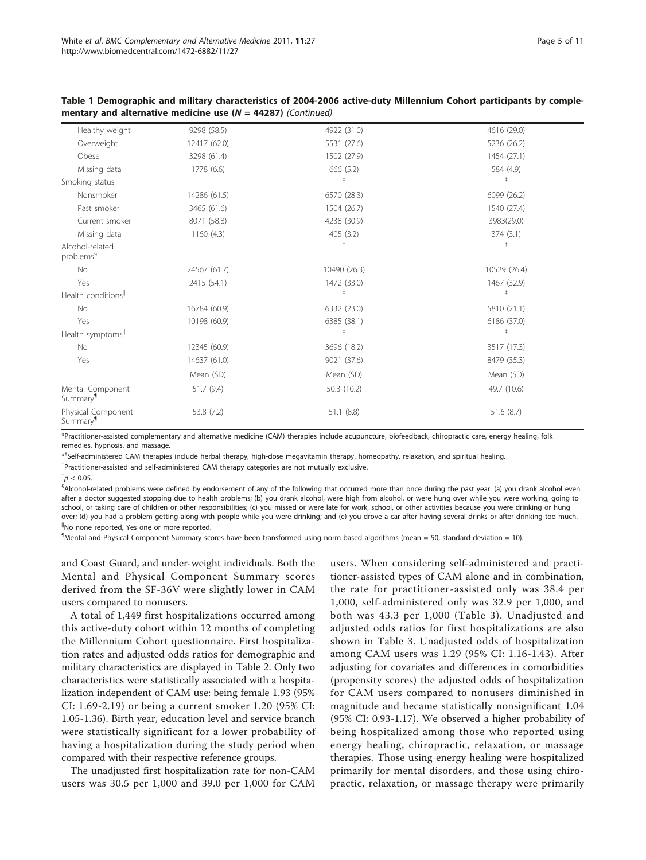| Physical Component<br>Summary <sup>1</sup> | 53.8 (7.2)   | 51.1(8.8)    | 51.6 (8.7)   |
|--------------------------------------------|--------------|--------------|--------------|
| Mental Component<br>Summary <sup>1</sup>   | 51.7 (9.4)   | 50.3(10.2)   | 49.7 (10.6)  |
|                                            | Mean (SD)    | Mean (SD)    | Mean (SD)    |
| Yes                                        | 14637 (61.0) | 9021 (37.6)  | 8479 (35.3)  |
| <b>No</b>                                  | 12345 (60.9) | 3696 (18.2)  | 3517 (17.3)  |
| Health symptoms                            |              | $\ddagger$   | $\ddagger$   |
| Yes                                        | 10198 (60.9) | 6385 (38.1)  | 6186 (37.0)  |
| No                                         | 16784 (60.9) | 6332 (23.0)  | 5810 (21.1)  |
| Health conditions                          |              | $\ddagger$   | $\ddagger$   |
| Yes                                        | 2415 (54.1)  | 1472 (33.0)  | 1467 (32.9)  |
| <b>No</b>                                  | 24567 (61.7) | 10490 (26.3) | 10529 (26.4) |
| Alcohol-related<br>problems <sup>§</sup>   |              | $\ddagger$   | $\ddagger$   |
| Missing data                               | 1160(4.3)    | 405(3.2)     | 374(3.1)     |
| Current smoker                             | 8071 (58.8)  | 4238 (30.9)  | 3983(29.0)   |
| Past smoker                                | 3465 (61.6)  | 1504 (26.7)  | 1540 (27.4)  |
| Nonsmoker                                  | 14286 (61.5) | 6570 (28.3)  | 6099 (26.2)  |
| Smoking status                             |              | $\ddagger$   | $\ddagger$   |
| Missing data                               | 1778 (6.6)   | 666 (5.2)    | 584 (4.9)    |
| Obese                                      | 3298 (61.4)  | 1502 (27.9)  | 1454 (27.1)  |
| Overweight                                 | 12417 (62.0) | 5531 (27.6)  | 5236 (26.2)  |
| Healthy weight                             | 9298 (58.5)  | 4922 (31.0)  | 4616 (29.0)  |

Table 1 Demographic and military characteristics of 2004-2006 active-duty Millennium Cohort participants by complementary and alternative medicine use ( $N = 44287$ ) (Continued)

\*Practitioner-assisted complementary and alternative medicine (CAM) therapies include acupuncture, biofeedback, chiropractic care, energy healing, folk remedies, hypnosis, and massage.

\* † Self-administered CAM therapies include herbal therapy, high-dose megavitamin therapy, homeopathy, relaxation, and spiritual healing.

† Practitioner-assisted and self-administered CAM therapy categories are not mutually exclusive.

 $^{\ddagger}p < 0.05$ .

<sup>§</sup> Alcohol-related problems were defined by endorsement of any of the following that occurred more than once during the past year: (a) you drank alcohol even after a doctor suggested stopping due to health problems; (b) you drank alcohol, were high from alcohol, or were hung over while you were working, going to school, or taking care of children or other responsibilities; (c) you missed or were late for work, school, or other activities because you were drinking or hung over; (d) you had a problem getting along with people while you were drinking; and (e) you drove a car after having several drinks or after drinking too much.  $\mathbb I$ No none reported, Yes one or more reported.

¶ Mental and Physical Component Summary scores have been transformed using norm-based algorithms (mean = 50, standard deviation = 10).

and Coast Guard, and under-weight individuals. Both the Mental and Physical Component Summary scores derived from the SF-36V were slightly lower in CAM users compared to nonusers.

A total of 1,449 first hospitalizations occurred among this active-duty cohort within 12 months of completing the Millennium Cohort questionnaire. First hospitalization rates and adjusted odds ratios for demographic and military characteristics are displayed in Table [2.](#page-5-0) Only two characteristics were statistically associated with a hospitalization independent of CAM use: being female 1.93 (95% CI: 1.69-2.19) or being a current smoker 1.20 (95% CI: 1.05-1.36). Birth year, education level and service branch were statistically significant for a lower probability of having a hospitalization during the study period when compared with their respective reference groups.

The unadjusted first hospitalization rate for non-CAM users was 30.5 per 1,000 and 39.0 per 1,000 for CAM

users. When considering self-administered and practitioner-assisted types of CAM alone and in combination, the rate for practitioner-assisted only was 38.4 per 1,000, self-administered only was 32.9 per 1,000, and both was 43.3 per 1,000 (Table [3](#page-6-0)). Unadjusted and adjusted odds ratios for first hospitalizations are also shown in Table [3.](#page-6-0) Unadjusted odds of hospitalization among CAM users was 1.29 (95% CI: 1.16-1.43). After adjusting for covariates and differences in comorbidities (propensity scores) the adjusted odds of hospitalization for CAM users compared to nonusers diminished in magnitude and became statistically nonsignificant 1.04 (95% CI: 0.93-1.17). We observed a higher probability of being hospitalized among those who reported using energy healing, chiropractic, relaxation, or massage therapies. Those using energy healing were hospitalized primarily for mental disorders, and those using chiropractic, relaxation, or massage therapy were primarily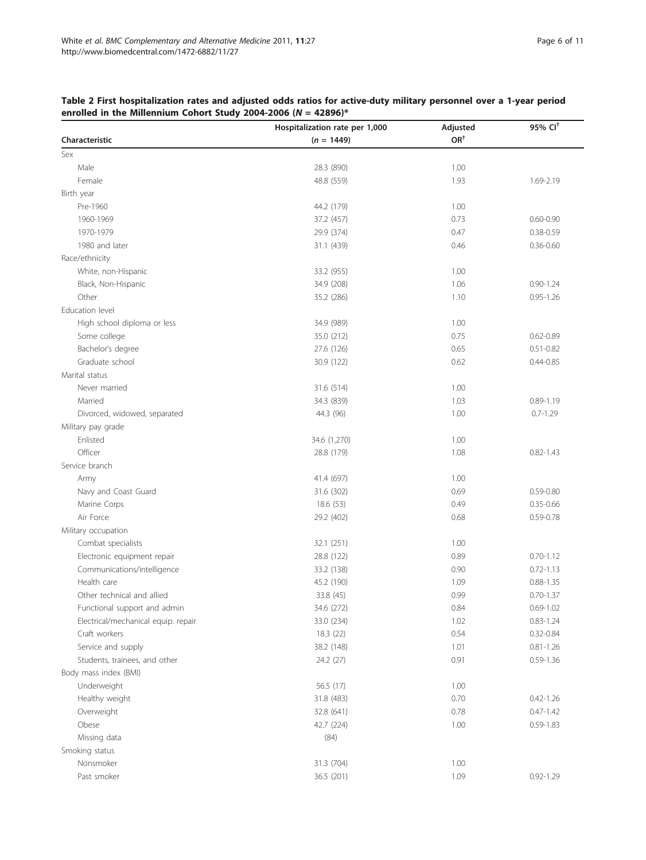|                                     | Hospitalization rate per 1,000 | Adjusted | 95% CI <sup>+</sup> |  |
|-------------------------------------|--------------------------------|----------|---------------------|--|
| Characteristic                      | $(n = 1449)$                   | $OR+$    |                     |  |
| Sex                                 |                                |          |                     |  |
| Male                                | 28.3 (890)                     | 1.00     |                     |  |
| Female                              | 48.8 (559)                     | 1.93     | 1.69-2.19           |  |
| Birth year                          |                                |          |                     |  |
| Pre-1960                            | 44.2 (179)                     | 1.00     |                     |  |
| 1960-1969                           | 37.2 (457)                     | 0.73     | $0.60 - 0.90$       |  |
| 1970-1979                           | 29.9 (374)                     | 0.47     | 0.38-0.59           |  |
| 1980 and later                      | 31.1 (439)                     | 0.46     | $0.36 - 0.60$       |  |
| Race/ethnicity                      |                                |          |                     |  |
| White, non-Hispanic                 | 33.2 (955)                     | 1.00     |                     |  |
| Black, Non-Hispanic                 | 34.9 (208)                     | 1.06     | $0.90 - 1.24$       |  |
| Other                               | 35.2 (286)                     | 1.10     | $0.95 - 1.26$       |  |
| Education level                     |                                |          |                     |  |
| High school diploma or less         | 34.9 (989)                     | 1.00     |                     |  |
| Some college                        | 35.0 (212)                     | 0.75     | $0.62 - 0.89$       |  |
| Bachelor's degree                   | 27.6 (126)                     | 0.65     | $0.51 - 0.82$       |  |
| Graduate school                     | 30.9 (122)                     | 0.62     | $0.44 - 0.85$       |  |
| Marital status                      |                                |          |                     |  |
| Never married                       | 31.6 (514)                     | 1.00     |                     |  |
| Married                             | 34.3 (839)                     | 1.03     | $0.89 - 1.19$       |  |
| Divorced, widowed, separated        | 44.3 (96)                      | 1.00     | $0.7 - 1.29$        |  |
| Military pay grade                  |                                |          |                     |  |
| Enlisted                            | 34.6 (1,270)                   | 1.00     |                     |  |
| Officer                             | 28.8 (179)                     | 1.08     | $0.82 - 1.43$       |  |
| Service branch                      |                                |          |                     |  |
| Army                                | 41.4 (697)                     | 1.00     |                     |  |
| Navy and Coast Guard                | 31.6 (302)                     | 0.69     | 0.59-0.80           |  |
| Marine Corps                        | 18.6(53)                       | 0.49     | $0.35 - 0.66$       |  |
| Air Force                           | 29.2 (402)                     | 0.68     | 0.59-0.78           |  |
| Military occupation                 |                                |          |                     |  |
| Combat specialists                  | 32.1 (251)                     | 1.00     |                     |  |
| Electronic equipment repair         | 28.8 (122)                     | 0.89     | $0.70 - 1.12$       |  |
| Communications/intelligence         | 33.2 (138)                     | 0.90     | $0.72 - 1.13$       |  |
| Health care                         | 45.2 (190)                     | 1.09     | $0.88 - 1.35$       |  |
| Other technical and allied          | 33.8 (45)                      | 0.99     | $0.70 - 1.37$       |  |
| Functional support and admin        | 34.6 (272)                     | 0.84     | $0.69 - 1.02$       |  |
| Electrical/mechanical equip. repair | 33.0 (234)                     | 1.02     | $0.83 - 1.24$       |  |
| Craft workers                       | 18.3 (22)                      | 0.54     | 0.32-0.84           |  |
| Service and supply                  | 38.2 (148)                     | 1.01     | $0.81 - 1.26$       |  |
| Students, trainees, and other       | 24.2 (27)                      | 0.91     | $0.59 - 1.36$       |  |
| Body mass index (BMI)               |                                |          |                     |  |
| Underweight                         | 56.5 (17)                      | 1.00     |                     |  |
| Healthy weight                      | 31.8 (483)                     | 0.70     | $0.42 - 1.26$       |  |
| Overweight                          | 32.8 (641)                     | 0.78     | $0.47 - 1.42$       |  |
| Obese                               | 42.7 (224)                     | 1.00     | $0.59 - 1.83$       |  |
| Missing data                        | (84)                           |          |                     |  |
| Smoking status                      |                                |          |                     |  |
| Nonsmoker                           | 31.3 (704)                     | 1.00     |                     |  |
| Past smoker                         | 36.5 (201)                     | 1.09     | $0.92 - 1.29$       |  |

<span id="page-5-0"></span>

| Table 2 First hospitalization rates and adjusted odds ratios for active-duty military personnel over a 1-year period |  |
|----------------------------------------------------------------------------------------------------------------------|--|
| enrolled in the Millennium Cohort Study 2004-2006 ( $N = 42896$ )*                                                   |  |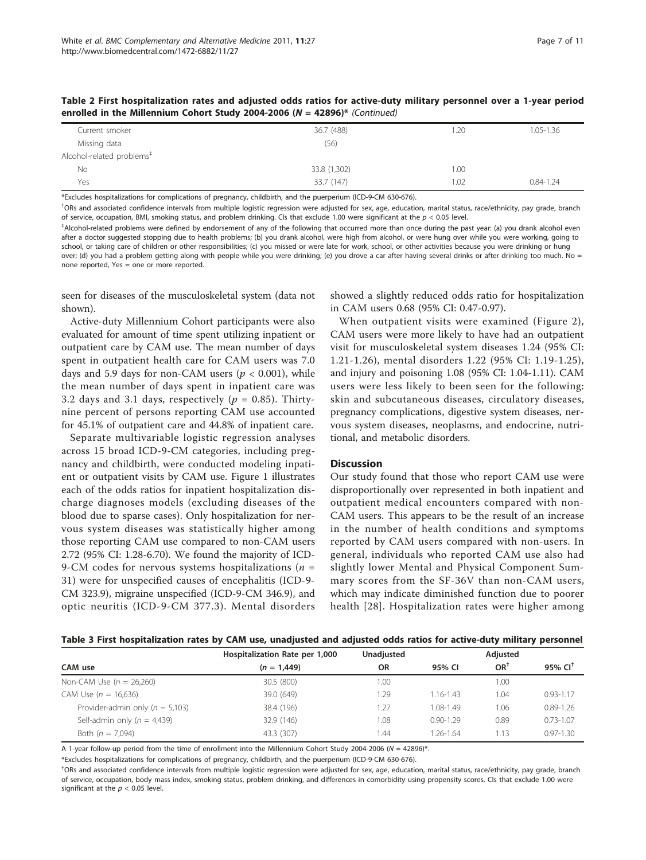| 36.7 (488)   | .20  | $.05 - 1.36$  |
|--------------|------|---------------|
| (56)         |      |               |
|              |      |               |
| 33.8 (1,302) | 1.00 |               |
| 33.7 (147)   | 1.02 | $0.84 - 1.24$ |
|              |      |               |

<span id="page-6-0"></span>Table 2 First hospitalization rates and adjusted odds ratios for active-duty military personnel over a 1-year period enrolled in the Millennium Cohort Study 2004-2006 ( $N = 42896$ )\* (Continued)

\*Excludes hospitalizations for complications of pregnancy, childbirth, and the puerperium (ICD-9-CM 630-676).

† ORs and associated confidence intervals from multiple logistic regression were adjusted for sex, age, education, marital status, race/ethnicity, pay grade, branch of service, occupation, BMI, smoking status, and problem drinking. CIs that exclude 1.00 were significant at the  $p < 0.05$  level.

‡ Alcohol-related problems were defined by endorsement of any of the following that occurred more than once during the past year: (a) you drank alcohol even after a doctor suggested stopping due to health problems; (b) you drank alcohol, were high from alcohol, or were hung over while you were working, going to school, or taking care of children or other responsibilities; (c) you missed or were late for work, school, or other activities because you were drinking or hung over; (d) you had a problem getting along with people while you were drinking; (e) you drove a car after having several drinks or after drinking too much. No = none reported, Yes = one or more reported.

seen for diseases of the musculoskeletal system (data not shown).

Active-duty Millennium Cohort participants were also evaluated for amount of time spent utilizing inpatient or outpatient care by CAM use. The mean number of days spent in outpatient health care for CAM users was 7.0 days and 5.9 days for non-CAM users ( $p < 0.001$ ), while the mean number of days spent in inpatient care was 3.2 days and 3.1 days, respectively ( $p = 0.85$ ). Thirtynine percent of persons reporting CAM use accounted for 45.1% of outpatient care and 44.8% of inpatient care.

Separate multivariable logistic regression analyses across 15 broad ICD-9-CM categories, including pregnancy and childbirth, were conducted modeling inpatient or outpatient visits by CAM use. Figure [1](#page-7-0) illustrates each of the odds ratios for inpatient hospitalization discharge diagnoses models (excluding diseases of the blood due to sparse cases). Only hospitalization for nervous system diseases was statistically higher among those reporting CAM use compared to non-CAM users 2.72 (95% CI: 1.28-6.70). We found the majority of ICD-9-CM codes for nervous systems hospitalizations ( $n =$ 31) were for unspecified causes of encephalitis (ICD-9- CM 323.9), migraine unspecified (ICD-9-CM 346.9), and optic neuritis (ICD-9-CM 377.3). Mental disorders showed a slightly reduced odds ratio for hospitalization in CAM users 0.68 (95% CI: 0.47-0.97).

When outpatient visits were examined (Figure [2\)](#page-7-0), CAM users were more likely to have had an outpatient visit for musculoskeletal system diseases 1.24 (95% CI: 1.21-1.26), mental disorders 1.22 (95% CI: 1.19-1.25), and injury and poisoning 1.08 (95% CI: 1.04-1.11). CAM users were less likely to been seen for the following: skin and subcutaneous diseases, circulatory diseases, pregnancy complications, digestive system diseases, nervous system diseases, neoplasms, and endocrine, nutritional, and metabolic disorders.

## **Discussion**

Our study found that those who report CAM use were disproportionally over represented in both inpatient and outpatient medical encounters compared with non-CAM users. This appears to be the result of an increase in the number of health conditions and symptoms reported by CAM users compared with non-users. In general, individuals who reported CAM use also had slightly lower Mental and Physical Component Summary scores from the SF-36V than non-CAM users, which may indicate diminished function due to poorer health [[28](#page-9-0)]. Hospitalization rates were higher among

| Table 3 First hospitalization rates by CAM use, unadjusted and adjusted odds ratios for active-duty military personnel |  |  |  |  |  |  |  |
|------------------------------------------------------------------------------------------------------------------------|--|--|--|--|--|--|--|
|------------------------------------------------------------------------------------------------------------------------|--|--|--|--|--|--|--|

|                                     | Hospitalization Rate per 1,000 | Unadjusted |               | Adjusted |               |
|-------------------------------------|--------------------------------|------------|---------------|----------|---------------|
| CAM use                             | $(n = 1.449)$                  | OR         | 95% CI        | $OR+$    | 95% $CI†$     |
| Non-CAM Use $(n = 26,260)$          | 30.5 (800)                     | 1.00       |               | 00.1     |               |
| CAM Use $(n = 16,636)$              | 39.0 (649)                     | .29        | $1.16 - 1.43$ | 1.04     | $0.93 - 1.17$ |
| Provider-admin only ( $n = 5,103$ ) | 38.4 (196)                     | .27        | 1.08-1.49     | 1.06     | $0.89 - 1.26$ |
| Self-admin only ( $n = 4,439$ )     | 32.9 (146)                     | 1.08       | $0.90 - 1.29$ | 0.89     | $0.73 - 1.07$ |
| Both $(n = 7.094)$                  | 43.3 (307)                     | 1.44       | 1.26-1.64     | 1.13     | $0.97 - 1.30$ |

A 1-year follow-up period from the time of enrollment into the Millennium Cohort Study 2004-2006 ( $N = 42896$ )\*.

\*Excludes hospitalizations for complications of pregnancy, childbirth, and the puerperium (ICD-9-CM 630-676).

† ORs and associated confidence intervals from multiple logistic regression were adjusted for sex, age, education, marital status, race/ethnicity, pay grade, branch of service, occupation, body mass index, smoking status, problem drinking, and differences in comorbidity using propensity scores. CIs that exclude 1.00 were significant at the  $p < 0.05$  level.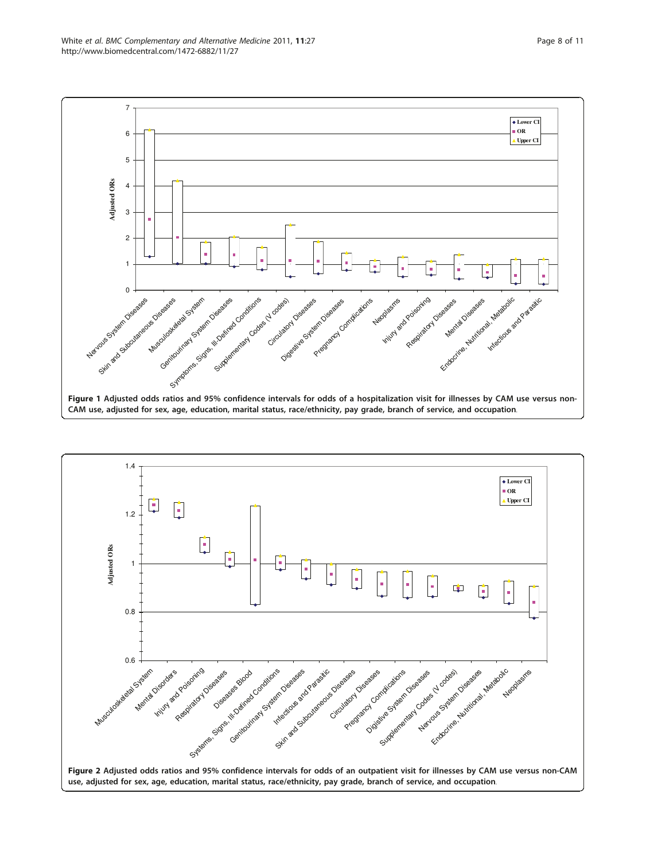<span id="page-7-0"></span>

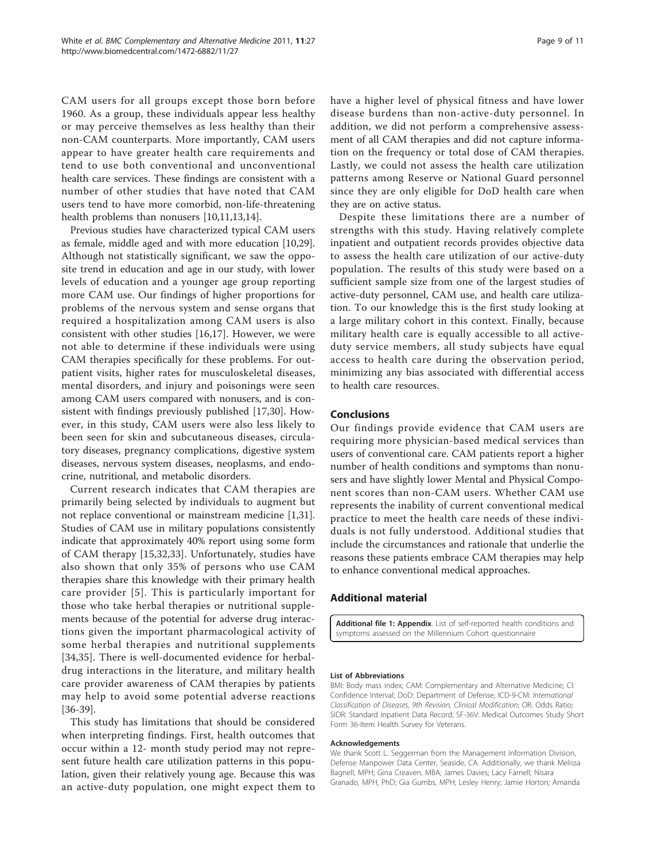<span id="page-8-0"></span>CAM users for all groups except those born before 1960. As a group, these individuals appear less healthy or may perceive themselves as less healthy than their non-CAM counterparts. More importantly, CAM users appear to have greater health care requirements and tend to use both conventional and unconventional health care services. These findings are consistent with a number of other studies that have noted that CAM users tend to have more comorbid, non-life-threatening health problems than nonusers [[10](#page-9-0),[11,13,14](#page-9-0)].

Previous studies have characterized typical CAM users as female, middle aged and with more education [[10,29](#page-9-0)]. Although not statistically significant, we saw the opposite trend in education and age in our study, with lower levels of education and a younger age group reporting more CAM use. Our findings of higher proportions for problems of the nervous system and sense organs that required a hospitalization among CAM users is also consistent with other studies [\[16,17](#page-9-0)]. However, we were not able to determine if these individuals were using CAM therapies specifically for these problems. For outpatient visits, higher rates for musculoskeletal diseases, mental disorders, and injury and poisonings were seen among CAM users compared with nonusers, and is consistent with findings previously published [\[17](#page-9-0),[30\]](#page-9-0). However, in this study, CAM users were also less likely to been seen for skin and subcutaneous diseases, circulatory diseases, pregnancy complications, digestive system diseases, nervous system diseases, neoplasms, and endocrine, nutritional, and metabolic disorders.

Current research indicates that CAM therapies are primarily being selected by individuals to augment but not replace conventional or mainstream medicine [\[1,31](#page-9-0)]. Studies of CAM use in military populations consistently indicate that approximately 40% report using some form of CAM therapy [\[15](#page-9-0),[32,33\]](#page-9-0). Unfortunately, studies have also shown that only 35% of persons who use CAM therapies share this knowledge with their primary health care provider [[5\]](#page-9-0). This is particularly important for those who take herbal therapies or nutritional supplements because of the potential for adverse drug interactions given the important pharmacological activity of some herbal therapies and nutritional supplements [[34,35](#page-10-0)]. There is well-documented evidence for herbaldrug interactions in the literature, and military health care provider awareness of CAM therapies by patients may help to avoid some potential adverse reactions [[36-39\]](#page-10-0).

This study has limitations that should be considered when interpreting findings. First, health outcomes that occur within a 12- month study period may not represent future health care utilization patterns in this population, given their relatively young age. Because this was an active-duty population, one might expect them to

have a higher level of physical fitness and have lower disease burdens than non-active-duty personnel. In addition, we did not perform a comprehensive assessment of all CAM therapies and did not capture information on the frequency or total dose of CAM therapies. Lastly, we could not assess the health care utilization patterns among Reserve or National Guard personnel since they are only eligible for DoD health care when they are on active status.

Despite these limitations there are a number of strengths with this study. Having relatively complete inpatient and outpatient records provides objective data to assess the health care utilization of our active-duty population. The results of this study were based on a sufficient sample size from one of the largest studies of active-duty personnel, CAM use, and health care utilization. To our knowledge this is the first study looking at a large military cohort in this context. Finally, because military health care is equally accessible to all activeduty service members, all study subjects have equal access to health care during the observation period, minimizing any bias associated with differential access to health care resources.

## Conclusions

Our findings provide evidence that CAM users are requiring more physician-based medical services than users of conventional care. CAM patients report a higher number of health conditions and symptoms than nonusers and have slightly lower Mental and Physical Component scores than non-CAM users. Whether CAM use represents the inability of current conventional medical practice to meet the health care needs of these individuals is not fully understood. Additional studies that include the circumstances and rationale that underlie the reasons these patients embrace CAM therapies may help to enhance conventional medical approaches.

## Additional material

[Additional file 1: A](http://www.biomedcentral.com/content/supplementary/1472-6882-11-27-S1.DOC)ppendix. List of self-reported health conditions and symptoms assessed on the Millennium Cohort questionnaire

#### List of Abbreviations

BMI: Body mass index; CAM: Complementary and Alternative Medicine; CI: Confidence Interval; DoD: Department of Defense; ICD-9-CM: International Classification of Diseases, 9th Revision, Clinical Modification; OR: Odds Ratio; SIDR: Standard Inpatient Data Record; SF-36V: Medical Outcomes Study Short Form 36-Item Health Survey for Veterans.

#### Acknowledgements

We thank Scott L. Seggerman from the Management Information Division, Defense Manpower Data Center, Seaside, CA. Additionally, we thank Melissa Bagnell, MPH; Gina Creaven, MBA; James Davies; Lacy Farnell; Nisara Granado, MPH, PhD; Gia Gumbs, MPH; Lesley Henry; Jamie Horton; Amanda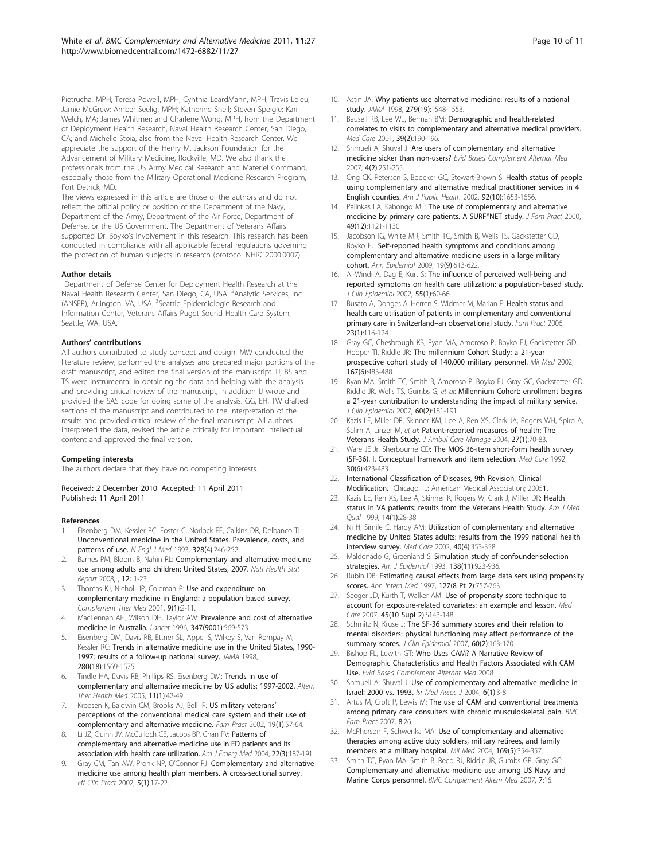<span id="page-9-0"></span>Pietrucha, MPH; Teresa Powell, MPH; Cynthia LeardMann, MPH; Travis Leleu; Jamie McGrew; Amber Seelig, MPH; Katherine Snell; Steven Speigle; Kari Welch, MA; James Whitmer; and Charlene Wong, MPH, from the Department of Deployment Health Research, Naval Health Research Center, San Diego, CA; and Michelle Stoia, also from the Naval Health Research Center. We appreciate the support of the Henry M. Jackson Foundation for the Advancement of Military Medicine, Rockville, MD. We also thank the professionals from the US Army Medical Research and Materiel Command, especially those from the Military Operational Medicine Research Program, Fort Detrick, MD.

The views expressed in this article are those of the authors and do not reflect the official policy or position of the Department of the Navy, Department of the Army, Department of the Air Force, Department of Defense, or the US Government. The Department of Veterans Affairs supported Dr. Boyko's involvement in this research. This research has been conducted in compliance with all applicable federal regulations governing the protection of human subjects in research (protocol NHRC.2000.0007).

#### Author details

<sup>1</sup>Department of Defense Center for Deployment Health Research at the Naval Health Research Center, San Diego, CA, USA. <sup>2</sup>Analytic Services, Inc.<br>(ANSER), Arlington, VA, USA. <sup>3</sup>Seattle Epidemiologic Research and Information Center, Veterans Affairs Puget Sound Health Care System, Seattle, WA, USA.

#### Authors' contributions

All authors contributed to study concept and design. MW conducted the literature review, performed the analyses and prepared major portions of the draft manuscript, and edited the final version of the manuscript. IJ, BS and TS were instrumental in obtaining the data and helping with the analysis and providing critical review of the manuscript, in addition IJ wrote and provided the SAS code for doing some of the analysis. GG, EH, TW drafted sections of the manuscript and contributed to the interpretation of the results and provided critical review of the final manuscript. All authors interpreted the data, revised the article critically for important intellectual content and approved the final version.

#### Competing interests

The authors declare that they have no competing interests.

Received: 2 December 2010 Accepted: 11 April 2011 Published: 11 April 2011

#### References

- 1. Eisenberg DM, Kessler RC, Foster C, Norlock FE, Calkins DR, Delbanco TL: [Unconventional medicine in the United States. Prevalence, costs, and](http://www.ncbi.nlm.nih.gov/pubmed/8418405?dopt=Abstract) [patterns of use.](http://www.ncbi.nlm.nih.gov/pubmed/8418405?dopt=Abstract) N Engl J Med 1993, 328(4):246-252.
- 2. Barnes PM, Bloom B, Nahin RL: [Complementary and alternative medicine](http://www.ncbi.nlm.nih.gov/pubmed/19361005?dopt=Abstract) [use among adults and children: United States, 2007.](http://www.ncbi.nlm.nih.gov/pubmed/19361005?dopt=Abstract) Natl Health Stat Report 2008, , 12: 1-23.
- 3. Thomas KJ, Nicholl JP, Coleman P: [Use and expenditure on](http://www.ncbi.nlm.nih.gov/pubmed/11264963?dopt=Abstract) [complementary medicine in England: a population based survey.](http://www.ncbi.nlm.nih.gov/pubmed/11264963?dopt=Abstract) Complement Ther Med 2001, 9(1):2-11.
- 4. MacLennan AH, Wilson DH, Taylor AW: [Prevalence and cost of alternative](http://www.ncbi.nlm.nih.gov/pubmed/8596318?dopt=Abstract) [medicine in Australia.](http://www.ncbi.nlm.nih.gov/pubmed/8596318?dopt=Abstract) Lancet 1996, 347(9001):569-573.
- 5. Eisenberg DM, Davis RB, Ettner SL, Appel S, Wilkey S, Van Rompay M, Kessler RC: [Trends in alternative medicine use in the United States, 1990-](http://www.ncbi.nlm.nih.gov/pubmed/9820257?dopt=Abstract) [1997: results of a follow-up national survey.](http://www.ncbi.nlm.nih.gov/pubmed/9820257?dopt=Abstract) JAMA 1998, 280(18):1569-1575.
- Tindle HA, Davis RB, Phillips RS, Eisenberg DM: [Trends in use of](http://www.ncbi.nlm.nih.gov/pubmed/15712765?dopt=Abstract) [complementary and alternative medicine by US adults: 1997-2002.](http://www.ncbi.nlm.nih.gov/pubmed/15712765?dopt=Abstract) Altern Ther Health Med 2005, 11(1):42-49.
- Kroesen K, Baldwin CM, Brooks AJ, Bell IR: [US military veterans](http://www.ncbi.nlm.nih.gov/pubmed/11818351?dopt=Abstract)' [perceptions of the conventional medical care system and their use of](http://www.ncbi.nlm.nih.gov/pubmed/11818351?dopt=Abstract) [complementary and alternative medicine.](http://www.ncbi.nlm.nih.gov/pubmed/11818351?dopt=Abstract) Fam Pract 2002, 19(1):57-64.
- 8. Li JZ, Quinn JV, McCulloch CE, Jacobs BP, Chan PV: [Patterns of](http://www.ncbi.nlm.nih.gov/pubmed/15138954?dopt=Abstract) [complementary and alternative medicine use in ED patients and its](http://www.ncbi.nlm.nih.gov/pubmed/15138954?dopt=Abstract) [association with health care utilization.](http://www.ncbi.nlm.nih.gov/pubmed/15138954?dopt=Abstract) Am J Emerg Med 2004, 22(3):187-191.
- Gray CM, Tan AW, Pronk NP, O'Connor PJ: [Complementary and alternative](http://www.ncbi.nlm.nih.gov/pubmed/11878283?dopt=Abstract) [medicine use among health plan members. A cross-sectional survey.](http://www.ncbi.nlm.nih.gov/pubmed/11878283?dopt=Abstract) Eff Clin Pract 2002, 5(1):17-22.
- 10. Astin JA: [Why patients use alternative medicine: results of a national](http://www.ncbi.nlm.nih.gov/pubmed/9605899?dopt=Abstract) [study.](http://www.ncbi.nlm.nih.gov/pubmed/9605899?dopt=Abstract) JAMA 1998, 279(19):1548-1553.
- 11. Bausell RB, Lee WL, Berman BM: [Demographic and health-related](http://www.ncbi.nlm.nih.gov/pubmed/11176556?dopt=Abstract) [correlates to visits to complementary and alternative medical providers.](http://www.ncbi.nlm.nih.gov/pubmed/11176556?dopt=Abstract) Med Care 2001, 39(2):190-196.
- 12. Shmueli A, Shuval J: [Are users of complementary and alternative](http://www.ncbi.nlm.nih.gov/pubmed/17549244?dopt=Abstract) [medicine sicker than non-users?](http://www.ncbi.nlm.nih.gov/pubmed/17549244?dopt=Abstract) Evid Based Complement Alternat Med 2007, 4(2):251-255.
- 13. Ong CK, Petersen S, Bodeker GC, Stewart-Brown S: [Health status of people](http://www.ncbi.nlm.nih.gov/pubmed/12356616?dopt=Abstract) [using complementary and alternative medical practitioner services in 4](http://www.ncbi.nlm.nih.gov/pubmed/12356616?dopt=Abstract) [English counties.](http://www.ncbi.nlm.nih.gov/pubmed/12356616?dopt=Abstract) Am J Public Health 2002, 92(10):1653-1656.
- 14. Palinkas LA, Kabongo ML: [The use of complementary and alternative](http://www.ncbi.nlm.nih.gov/pubmed/11132062?dopt=Abstract) [medicine by primary care patients. A SURF\\*NET study.](http://www.ncbi.nlm.nih.gov/pubmed/11132062?dopt=Abstract) J Fam Pract 2000, 49(12):1121-1130.
- 15. Jacobson IG, White MR, Smith TC, Smith B, Wells TS, Gackstetter GD, Boyko EJ: [Self-reported health symptoms and conditions among](http://www.ncbi.nlm.nih.gov/pubmed/19596206?dopt=Abstract) [complementary and alternative medicine users in a large military](http://www.ncbi.nlm.nih.gov/pubmed/19596206?dopt=Abstract) [cohort.](http://www.ncbi.nlm.nih.gov/pubmed/19596206?dopt=Abstract) Ann Epidemiol 2009, 19(9):613-622.
- 16. Al-Windi A, Dag E, Kurt S: [The influence of perceived well-being and](http://www.ncbi.nlm.nih.gov/pubmed/11781123?dopt=Abstract) [reported symptoms on health care utilization: a population-based study.](http://www.ncbi.nlm.nih.gov/pubmed/11781123?dopt=Abstract) J Clin Epidemiol 2002, 55(1):60-66.
- 17. Busato A, Donges A, Herren S, Widmer M, Marian F: [Health status and](http://www.ncbi.nlm.nih.gov/pubmed/16115833?dopt=Abstract) [health care utilisation of patients in complementary and conventional](http://www.ncbi.nlm.nih.gov/pubmed/16115833?dopt=Abstract) [primary care in Switzerland](http://www.ncbi.nlm.nih.gov/pubmed/16115833?dopt=Abstract)–an observational study. Fam Pract 2006, 23(1):116-124.
- 18. Gray GC, Chesbrough KB, Ryan MA, Amoroso P, Boyko EJ, Gackstetter GD, Hooper TI, Riddle JR: [The millennium Cohort Study: a 21-year](http://www.ncbi.nlm.nih.gov/pubmed/12099084?dopt=Abstract) [prospective cohort study of 140,000 military personnel.](http://www.ncbi.nlm.nih.gov/pubmed/12099084?dopt=Abstract) Mil Med 2002, 167(6):483-488.
- 19. Ryan MA, Smith TC, Smith B, Amoroso P, Boyko EJ, Gray GC, Gackstetter GD, Riddle JR, Wells TS, Gumbs G, et al: [Millennium Cohort: enrollment begins](http://www.ncbi.nlm.nih.gov/pubmed/17208125?dopt=Abstract) [a 21-year contribution to understanding the impact of military service.](http://www.ncbi.nlm.nih.gov/pubmed/17208125?dopt=Abstract) J Clin Epidemiol 2007, 60(2):181-191.
- 20. Kazis LE, Miller DR, Skinner KM, Lee A, Ren XS, Clark JA, Rogers WH, Spiro A, Selim A, Linzer M, et al: [Patient-reported measures of health: The](http://www.ncbi.nlm.nih.gov/pubmed/14717468?dopt=Abstract) [Veterans Health Study.](http://www.ncbi.nlm.nih.gov/pubmed/14717468?dopt=Abstract) J Ambul Care Manage 2004, 27(1):70-83.
- 21. Ware JE Jr, Sherbourne CD: [The MOS 36-item short-form health survey](http://www.ncbi.nlm.nih.gov/pubmed/1593914?dopt=Abstract) [\(SF-36\). I. Conceptual framework and item selection.](http://www.ncbi.nlm.nih.gov/pubmed/1593914?dopt=Abstract) Med Care 1992, 30(6):473-483.
- 22. International Classification of Diseases, 9th Revision, Clinical Modification. Chicago, IL: American Medical Association; 20051.
- 23. Kazis LE, Ren XS, Lee A, Skinner K, Rogers W, Clark J, Miller DR: [Health](http://www.ncbi.nlm.nih.gov/pubmed/10446661?dopt=Abstract) [status in VA patients: results from the Veterans Health Study.](http://www.ncbi.nlm.nih.gov/pubmed/10446661?dopt=Abstract) Am J Med Qual 1999, 14(1):28-38.
- 24. Ni H, Simile C, Hardy AM: [Utilization of complementary and alternative](http://www.ncbi.nlm.nih.gov/pubmed/12021691?dopt=Abstract) [medicine by United States adults: results from the 1999 national health](http://www.ncbi.nlm.nih.gov/pubmed/12021691?dopt=Abstract) [interview survey.](http://www.ncbi.nlm.nih.gov/pubmed/12021691?dopt=Abstract) Med Care 2002, 40(4):353-358.
- 25. Maldonado G, Greenland S: [Simulation study of confounder-selection](http://www.ncbi.nlm.nih.gov/pubmed/8256780?dopt=Abstract) [strategies.](http://www.ncbi.nlm.nih.gov/pubmed/8256780?dopt=Abstract) Am J Epidemiol 1993, 138(11):923-936.
- 26. Rubin DB: [Estimating causal effects from large data sets using propensity](http://www.ncbi.nlm.nih.gov/pubmed/9382394?dopt=Abstract) [scores.](http://www.ncbi.nlm.nih.gov/pubmed/9382394?dopt=Abstract) Ann Intern Med 1997, 127(8 Pt 2):757-763.
- 27. Seeger JD, Kurth T, Walker AM: [Use of propensity score technique to](http://www.ncbi.nlm.nih.gov/pubmed/17909373?dopt=Abstract) [account for exposure-related covariates: an example and lesson.](http://www.ncbi.nlm.nih.gov/pubmed/17909373?dopt=Abstract) Med Care 2007, 45(10 Supl 2):S143-148.
- 28. Schmitz N, Kruse J: [The SF-36 summary scores and their relation to](http://www.ncbi.nlm.nih.gov/pubmed/17208122?dopt=Abstract) mental [disorders: physical functioning may affect performance of the](http://www.ncbi.nlm.nih.gov/pubmed/17208122?dopt=Abstract) [summary scores.](http://www.ncbi.nlm.nih.gov/pubmed/17208122?dopt=Abstract) J Clin Epidemiol 2007, 60(2):163-170.
- 29. Bishop FL, Lewith GT: [Who Uses CAM? A Narrative Review of](http://www.ncbi.nlm.nih.gov/pubmed/18955327?dopt=Abstract) [Demographic Characteristics and Health Factors Associated with CAM](http://www.ncbi.nlm.nih.gov/pubmed/18955327?dopt=Abstract) [Use.](http://www.ncbi.nlm.nih.gov/pubmed/18955327?dopt=Abstract) Evid Based Complement Alternat Med 2008.
- 30. Shmueli A, Shuval J: [Use of complementary and alternative medicine in](http://www.ncbi.nlm.nih.gov/pubmed/14740500?dopt=Abstract) [Israel: 2000 vs. 1993.](http://www.ncbi.nlm.nih.gov/pubmed/14740500?dopt=Abstract) Isr Med Assoc J 2004, 6(1):3-8.
- 31. Artus M, Croft P, Lewis M: [The use of CAM and conventional treatments](http://www.ncbi.nlm.nih.gov/pubmed/17480212?dopt=Abstract) [among primary care consulters with chronic musculoskeletal pain.](http://www.ncbi.nlm.nih.gov/pubmed/17480212?dopt=Abstract) BMC Fam Pract 2007, 8:26.
- 32. McPherson F, Schwenka MA: [Use of complementary and alternative](http://www.ncbi.nlm.nih.gov/pubmed/15185998?dopt=Abstract) [therapies among active duty soldiers, military retirees, and family](http://www.ncbi.nlm.nih.gov/pubmed/15185998?dopt=Abstract) [members at a military hospital.](http://www.ncbi.nlm.nih.gov/pubmed/15185998?dopt=Abstract) Mil Med 2004, 169(5):354-357.
- 33. Smith TC, Ryan MA, Smith B, Reed RJ, Riddle JR, Gumbs GR, Gray GC: [Complementary and alternative medicine use among US Navy and](http://www.ncbi.nlm.nih.gov/pubmed/17506899?dopt=Abstract) [Marine Corps personnel.](http://www.ncbi.nlm.nih.gov/pubmed/17506899?dopt=Abstract) BMC Complement Altern Med 2007, 7:16.